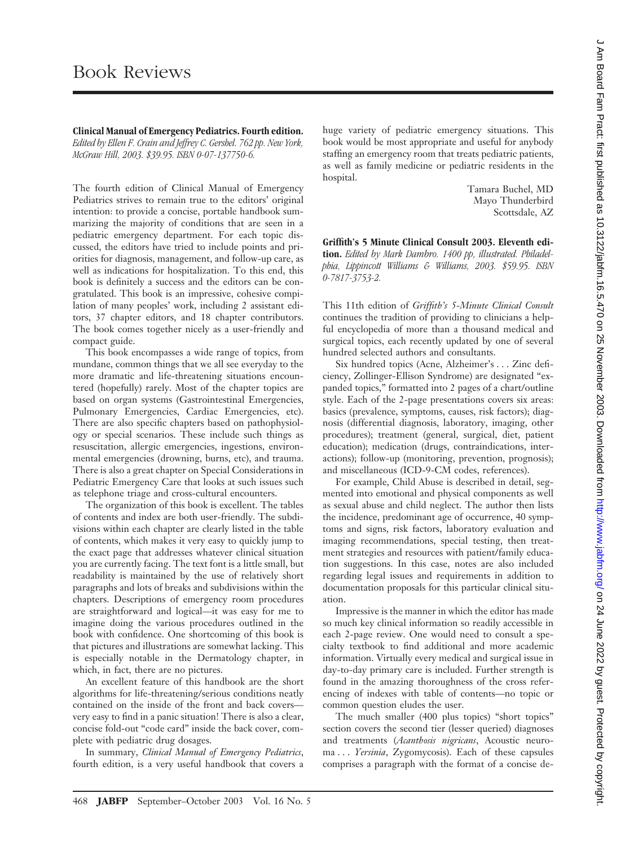**Clinical Manual of Emergency Pediatrics. Fourth edition.**

*Edited by Ellen F. Crain and Jeffrey C. Gershel. 762 pp. New York, McGraw Hill, 2003. \$39.95. ISBN 0-07-137750-6.*

The fourth edition of Clinical Manual of Emergency Pediatrics strives to remain true to the editors' original intention: to provide a concise, portable handbook summarizing the majority of conditions that are seen in a pediatric emergency department. For each topic discussed, the editors have tried to include points and priorities for diagnosis, management, and follow-up care, as well as indications for hospitalization. To this end, this book is definitely a success and the editors can be congratulated. This book is an impressive, cohesive compilation of many peoples' work, including 2 assistant editors, 37 chapter editors, and 18 chapter contributors. The book comes together nicely as a user-friendly and compact guide.

This book encompasses a wide range of topics, from mundane, common things that we all see everyday to the more dramatic and life-threatening situations encountered (hopefully) rarely. Most of the chapter topics are based on organ systems (Gastrointestinal Emergencies, Pulmonary Emergencies, Cardiac Emergencies, etc). There are also specific chapters based on pathophysiology or special scenarios. These include such things as resuscitation, allergic emergencies, ingestions, environmental emergencies (drowning, burns, etc), and trauma. There is also a great chapter on Special Considerations in Pediatric Emergency Care that looks at such issues such as telephone triage and cross-cultural encounters.

The organization of this book is excellent. The tables of contents and index are both user-friendly. The subdivisions within each chapter are clearly listed in the table of contents, which makes it very easy to quickly jump to the exact page that addresses whatever clinical situation you are currently facing. The text font is a little small, but readability is maintained by the use of relatively short paragraphs and lots of breaks and subdivisions within the chapters. Descriptions of emergency room procedures are straightforward and logical—it was easy for me to imagine doing the various procedures outlined in the book with confidence. One shortcoming of this book is that pictures and illustrations are somewhat lacking. This is especially notable in the Dermatology chapter, in which, in fact, there are no pictures.

An excellent feature of this handbook are the short algorithms for life-threatening/serious conditions neatly contained on the inside of the front and back covers very easy to find in a panic situation! There is also a clear, concise fold-out "code card" inside the back cover, complete with pediatric drug dosages.

In summary, *Clinical Manual of Emergency Pediatrics*, fourth edition, is a very useful handbook that covers a

huge variety of pediatric emergency situations. This book would be most appropriate and useful for anybody staffing an emergency room that treats pediatric patients, as well as family medicine or pediatric residents in the hospital.

> Tamara Buchel, MD Mayo Thunderbird Scottsdale, AZ

**Griffith's 5 Minute Clinical Consult 2003. Eleventh edition.** *Edited by Mark Dambro. 1400 pp, illustrated. Philadelphia, Lippincott Williams & Williams, 2003. \$59.95. ISBN 0-7817-3753-2.*

This 11th edition of *Griffith's 5-Minute Clinical Consult* continues the tradition of providing to clinicians a helpful encyclopedia of more than a thousand medical and surgical topics, each recently updated by one of several hundred selected authors and consultants.

Six hundred topics (Acne, Alzheimer's... Zinc deficiency, Zollinger-Ellison Syndrome) are designated "expanded topics," formatted into 2 pages of a chart/outline style. Each of the 2-page presentations covers six areas: basics (prevalence, symptoms, causes, risk factors); diagnosis (differential diagnosis, laboratory, imaging, other procedures); treatment (general, surgical, diet, patient education); medication (drugs, contraindications, interactions); follow-up (monitoring, prevention, prognosis); and miscellaneous (ICD-9-CM codes, references).

For example, Child Abuse is described in detail, segmented into emotional and physical components as well as sexual abuse and child neglect. The author then lists the incidence, predominant age of occurrence, 40 symptoms and signs, risk factors, laboratory evaluation and imaging recommendations, special testing, then treatment strategies and resources with patient/family education suggestions. In this case, notes are also included regarding legal issues and requirements in addition to documentation proposals for this particular clinical situation.

Impressive is the manner in which the editor has made so much key clinical information so readily accessible in each 2-page review. One would need to consult a specialty textbook to find additional and more academic information. Virtually every medical and surgical issue in day-to-day primary care is included. Further strength is found in the amazing thoroughness of the cross referencing of indexes with table of contents—no topic or common question eludes the user.

The much smaller (400 plus topics) "short topics" section covers the second tier (lesser queried) diagnoses and treatments (*Acanthosis nigricans*, Acoustic neuroma . . . *Yersinia*, Zygomycosis). Each of these capsules comprises a paragraph with the format of a concise de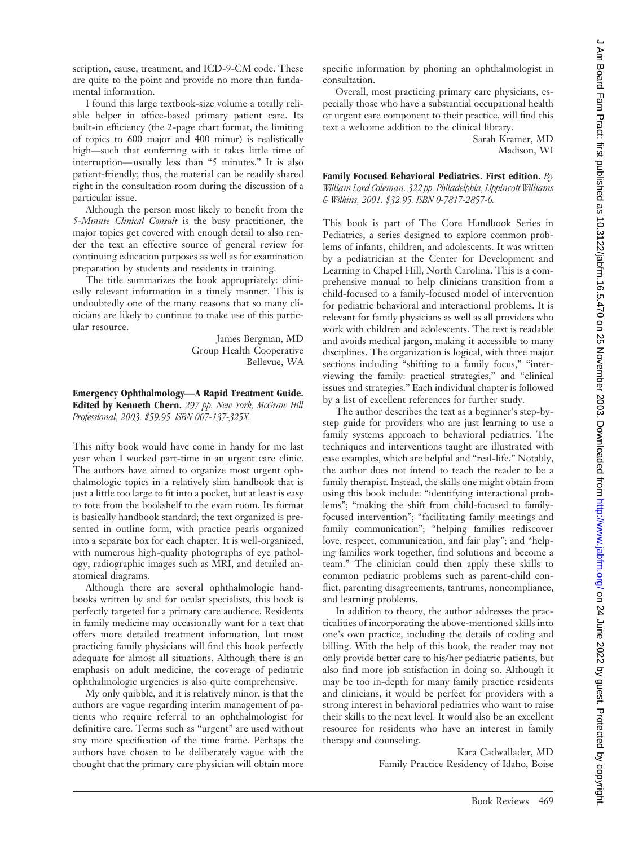scription, cause, treatment, and ICD-9-CM code. These are quite to the point and provide no more than fundamental information.

I found this large textbook-size volume a totally reliable helper in office-based primary patient care. Its built-in efficiency (the 2-page chart format, the limiting of topics to 600 major and 400 minor) is realistically high—such that conferring with it takes little time of interruption— usually less than "5 minutes." It is also patient-friendly; thus, the material can be readily shared right in the consultation room during the discussion of a particular issue.

Although the person most likely to benefit from the *5-Minute Clinical Consult* is the busy practitioner, the major topics get covered with enough detail to also render the text an effective source of general review for continuing education purposes as well as for examination preparation by students and residents in training.

The title summarizes the book appropriately: clinically relevant information in a timely manner. This is undoubtedly one of the many reasons that so many clinicians are likely to continue to make use of this particular resource.

> James Bergman, MD Group Health Cooperative Bellevue, WA

**Emergency Ophthalmology—A Rapid Treatment Guide. Edited by Kenneth Chern.** *297 pp. New York, McGraw Hill Professional, 2003. \$59.95. ISBN 007-137-325X.*

This nifty book would have come in handy for me last year when I worked part-time in an urgent care clinic. The authors have aimed to organize most urgent ophthalmologic topics in a relatively slim handbook that is just a little too large to fit into a pocket, but at least is easy to tote from the bookshelf to the exam room. Its format is basically handbook standard; the text organized is presented in outline form, with practice pearls organized into a separate box for each chapter. It is well-organized, with numerous high-quality photographs of eye pathology, radiographic images such as MRI, and detailed anatomical diagrams.

Although there are several ophthalmologic handbooks written by and for ocular specialists, this book is perfectly targeted for a primary care audience. Residents in family medicine may occasionally want for a text that offers more detailed treatment information, but most practicing family physicians will find this book perfectly adequate for almost all situations. Although there is an emphasis on adult medicine, the coverage of pediatric ophthalmologic urgencies is also quite comprehensive.

My only quibble, and it is relatively minor, is that the authors are vague regarding interim management of patients who require referral to an ophthalmologist for definitive care. Terms such as "urgent" are used without any more specification of the time frame. Perhaps the authors have chosen to be deliberately vague with the thought that the primary care physician will obtain more specific information by phoning an ophthalmologist in consultation.

Overall, most practicing primary care physicians, especially those who have a substantial occupational health or urgent care component to their practice, will find this text a welcome addition to the clinical library.

Sarah Kramer, MD Madison, WI

**Family Focused Behavioral Pediatrics. First edition.** *By William Lord Coleman. 322 pp. Philadelphia, Lippincott Williams & Wilkins, 2001. \$32.95. ISBN 0-7817-2857-6.*

This book is part of The Core Handbook Series in Pediatrics, a series designed to explore common problems of infants, children, and adolescents. It was written by a pediatrician at the Center for Development and Learning in Chapel Hill, North Carolina. This is a comprehensive manual to help clinicians transition from a child-focused to a family-focused model of intervention for pediatric behavioral and interactional problems. It is relevant for family physicians as well as all providers who work with children and adolescents. The text is readable and avoids medical jargon, making it accessible to many disciplines. The organization is logical, with three major sections including "shifting to a family focus," "interviewing the family: practical strategies," and "clinical issues and strategies." Each individual chapter is followed by a list of excellent references for further study.

The author describes the text as a beginner's step-bystep guide for providers who are just learning to use a family systems approach to behavioral pediatrics. The techniques and interventions taught are illustrated with case examples, which are helpful and "real-life." Notably, the author does not intend to teach the reader to be a family therapist. Instead, the skills one might obtain from using this book include: "identifying interactional problems"; "making the shift from child-focused to familyfocused intervention"; "facilitating family meetings and family communication"; "helping families rediscover love, respect, communication, and fair play"; and "helping families work together, find solutions and become a team." The clinician could then apply these skills to common pediatric problems such as parent-child conflict, parenting disagreements, tantrums, noncompliance, and learning problems.

In addition to theory, the author addresses the practicalities of incorporating the above-mentioned skills into one's own practice, including the details of coding and billing. With the help of this book, the reader may not only provide better care to his/her pediatric patients, but also find more job satisfaction in doing so. Although it may be too in-depth for many family practice residents and clinicians, it would be perfect for providers with a strong interest in behavioral pediatrics who want to raise their skills to the next level. It would also be an excellent resource for residents who have an interest in family therapy and counseling.

> Kara Cadwallader, MD Family Practice Residency of Idaho, Boise